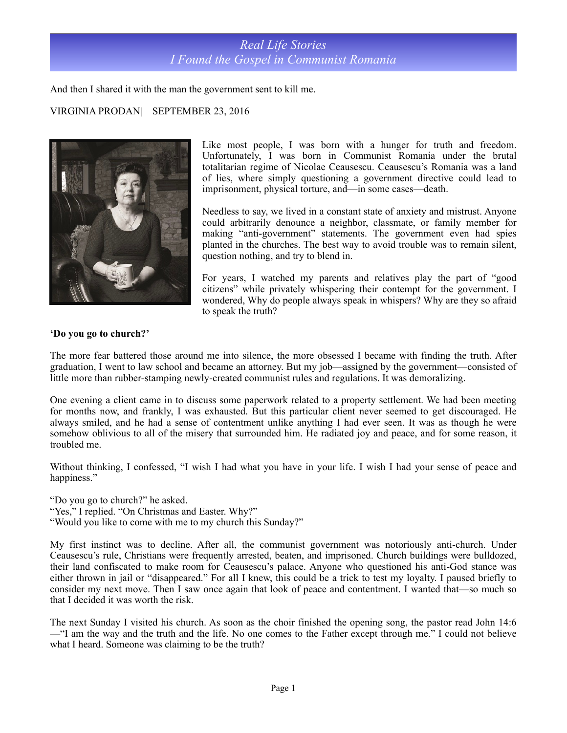

And then I shared it with the man the government sent to kill me.

## VIRGINIA PRODAN| SEPTEMBER 23, 2016



Like most people, I was born with a hunger for truth and freedom. Unfortunately, I was born in Communist Romania under the brutal totalitarian regime of Nicolae Ceausescu. Ceausescu's Romania was a land of lies, where simply questioning a government directive could lead to imprisonment, physical torture, and—in some cases—death.

Needless to say, we lived in a constant state of anxiety and mistrust. Anyone could arbitrarily denounce a neighbor, classmate, or family member for making "anti-government" statements. The government even had spies planted in the churches. The best way to avoid trouble was to remain silent, question nothing, and try to blend in.

For years, I watched my parents and relatives play the part of "good citizens" while privately whispering their contempt for the government. I wondered, Why do people always speak in whispers? Why are they so afraid to speak the truth?

## **'Do you go to church?'**

The more fear battered those around me into silence, the more obsessed I became with finding the truth. After graduation, I went to law school and became an attorney. But my job—assigned by the government—consisted of little more than rubber-stamping newly-created communist rules and regulations. It was demoralizing.

One evening a client came in to discuss some paperwork related to a property settlement. We had been meeting for months now, and frankly, I was exhausted. But this particular client never seemed to get discouraged. He always smiled, and he had a sense of contentment unlike anything I had ever seen. It was as though he were somehow oblivious to all of the misery that surrounded him. He radiated joy and peace, and for some reason, it troubled me.

Without thinking, I confessed, "I wish I had what you have in your life. I wish I had your sense of peace and happiness."

"Do you go to church?" he asked.

"Yes," I replied. "On Christmas and Easter. Why?"

"Would you like to come with me to my church this Sunday?"

My first instinct was to decline. After all, the communist government was notoriously anti-church. Under Ceausescu's rule, Christians were frequently arrested, beaten, and imprisoned. Church buildings were bulldozed, their land confiscated to make room for Ceausescu's palace. Anyone who questioned his anti-God stance was either thrown in jail or "disappeared." For all I knew, this could be a trick to test my loyalty. I paused briefly to consider my next move. Then I saw once again that look of peace and contentment. I wanted that—so much so that I decided it was worth the risk.

The next Sunday I visited his church. As soon as the choir finished the opening song, the pastor read John 14:6 —"I am the way and the truth and the life. No one comes to the Father except through me." I could not believe what I heard. Someone was claiming to be the truth?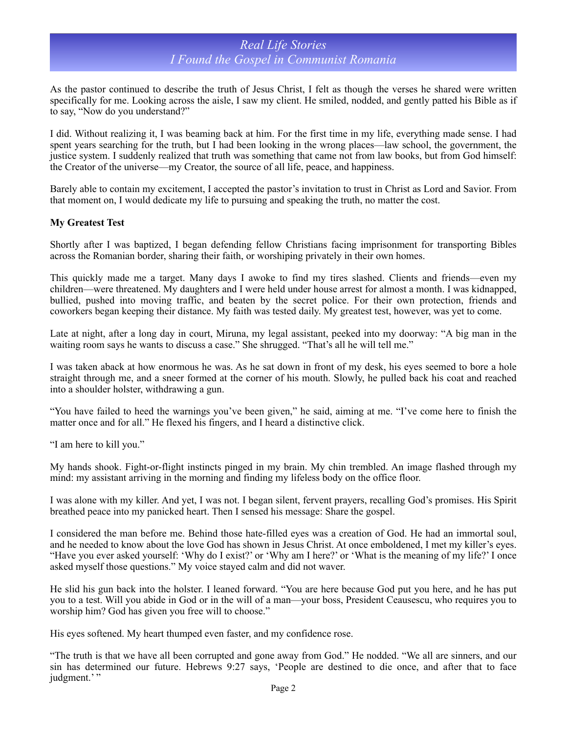## *Real Life Stories I Found the Gospel in Communist Romania*

As the pastor continued to describe the truth of Jesus Christ, I felt as though the verses he shared were written specifically for me. Looking across the aisle, I saw my client. He smiled, nodded, and gently patted his Bible as if to say, "Now do you understand?"

I did. Without realizing it, I was beaming back at him. For the first time in my life, everything made sense. I had spent years searching for the truth, but I had been looking in the wrong places—law school, the government, the justice system. I suddenly realized that truth was something that came not from law books, but from God himself: the Creator of the universe—my Creator, the source of all life, peace, and happiness.

Barely able to contain my excitement, I accepted the pastor's invitation to trust in Christ as Lord and Savior. From that moment on, I would dedicate my life to pursuing and speaking the truth, no matter the cost.

## **My Greatest Test**

Shortly after I was baptized, I began defending fellow Christians facing imprisonment for transporting Bibles across the Romanian border, sharing their faith, or worshiping privately in their own homes.

This quickly made me a target. Many days I awoke to find my tires slashed. Clients and friends—even my children—were threatened. My daughters and I were held under house arrest for almost a month. I was kidnapped, bullied, pushed into moving traffic, and beaten by the secret police. For their own protection, friends and coworkers began keeping their distance. My faith was tested daily. My greatest test, however, was yet to come.

Late at night, after a long day in court, Miruna, my legal assistant, peeked into my doorway: "A big man in the waiting room says he wants to discuss a case." She shrugged. "That's all he will tell me."

I was taken aback at how enormous he was. As he sat down in front of my desk, his eyes seemed to bore a hole straight through me, and a sneer formed at the corner of his mouth. Slowly, he pulled back his coat and reached into a shoulder holster, withdrawing a gun.

"You have failed to heed the warnings you've been given," he said, aiming at me. "I've come here to finish the matter once and for all." He flexed his fingers, and I heard a distinctive click.

"I am here to kill you."

My hands shook. Fight-or-flight instincts pinged in my brain. My chin trembled. An image flashed through my mind: my assistant arriving in the morning and finding my lifeless body on the office floor.

I was alone with my killer. And yet, I was not. I began silent, fervent prayers, recalling God's promises. His Spirit breathed peace into my panicked heart. Then I sensed his message: Share the gospel.

I considered the man before me. Behind those hate-filled eyes was a creation of God. He had an immortal soul, and he needed to know about the love God has shown in Jesus Christ. At once emboldened, I met my killer's eyes. "Have you ever asked yourself: 'Why do I exist?' or 'Why am I here?' or 'What is the meaning of my life?' I once asked myself those questions." My voice stayed calm and did not waver.

He slid his gun back into the holster. I leaned forward. "You are here because God put you here, and he has put you to a test. Will you abide in God or in the will of a man—your boss, President Ceausescu, who requires you to worship him? God has given you free will to choose."

His eyes softened. My heart thumped even faster, and my confidence rose.

"The truth is that we have all been corrupted and gone away from God." He nodded. "We all are sinners, and our sin has determined our future. Hebrews 9:27 says, 'People are destined to die once, and after that to face judgment.'"